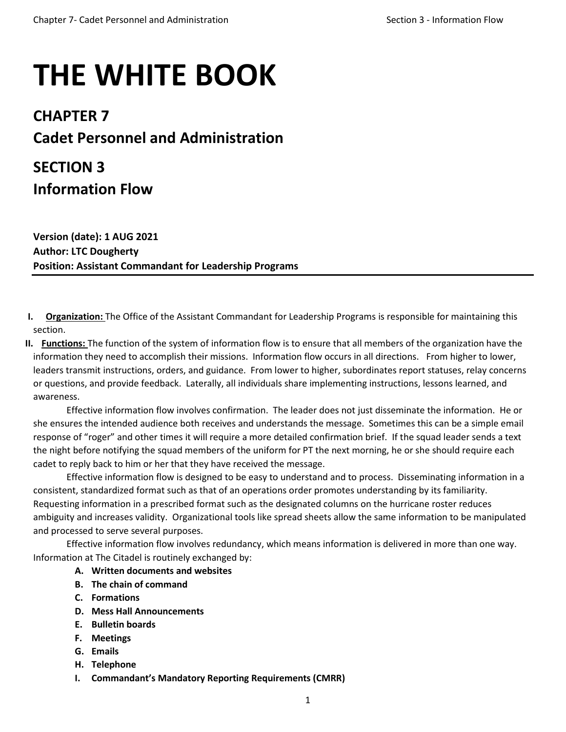# **THE WHITE BOOK**

### **CHAPTER 7 Cadet Personnel and Administration**

## **SECTION 3 Information Flow**

**Version (date): 1 AUG 2021 Author: LTC Dougherty Position: Assistant Commandant for Leadership Programs**

- **I. Organization:** The Office of the Assistant Commandant for Leadership Programs is responsible for maintaining this section.
- **II. Functions:** The function of the system of information flow is to ensure that all members of the organization have the information they need to accomplish their missions. Information flow occurs in all directions. From higher to lower, leaders transmit instructions, orders, and guidance. From lower to higher, subordinates report statuses, relay concerns or questions, and provide feedback. Laterally, all individuals share implementing instructions, lessons learned, and awareness.

Effective information flow involves confirmation. The leader does not just disseminate the information. He or she ensures the intended audience both receives and understands the message. Sometimes this can be a simple email response of "roger" and other times it will require a more detailed confirmation brief. If the squad leader sends a text the night before notifying the squad members of the uniform for PT the next morning, he or she should require each cadet to reply back to him or her that they have received the message.

Effective information flow is designed to be easy to understand and to process. Disseminating information in a consistent, standardized format such as that of an operations order promotes understanding by its familiarity. Requesting information in a prescribed format such as the designated columns on the hurricane roster reduces ambiguity and increases validity. Organizational tools like spread sheets allow the same information to be manipulated and processed to serve several purposes.

Effective information flow involves redundancy, which means information is delivered in more than one way. Information at The Citadel is routinely exchanged by:

- **A. Written documents and websites**
- **B. The chain of command**
- **C. Formations**
- **D. Mess Hall Announcements**
- **E. Bulletin boards**
- **F. Meetings**
- **G. Emails**
- **H. Telephone**
- **I. Commandant's Mandatory Reporting Requirements (CMRR)**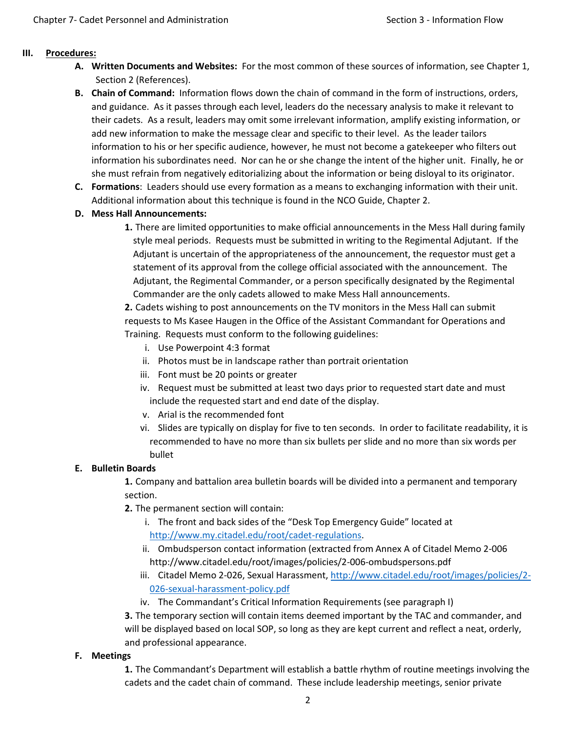#### **III. Procedures:**

- **A. Written Documents and Websites:** For the most common of these sources of information, see Chapter 1, Section 2 (References).
- **B. Chain of Command:** Information flows down the chain of command in the form of instructions, orders, and guidance. As it passes through each level, leaders do the necessary analysis to make it relevant to their cadets. As a result, leaders may omit some irrelevant information, amplify existing information, or add new information to make the message clear and specific to their level. As the leader tailors information to his or her specific audience, however, he must not become a gatekeeper who filters out information his subordinates need. Nor can he or she change the intent of the higher unit. Finally, he or she must refrain from negatively editorializing about the information or being disloyal to its originator.
- **C. Formations**: Leaders should use every formation as a means to exchanging information with their unit. Additional information about this technique is found in the NCO Guide, Chapter 2.
- **D. Mess Hall Announcements:**
	- **1.** There are limited opportunities to make official announcements in the Mess Hall during family style meal periods. Requests must be submitted in writing to the Regimental Adjutant. If the Adjutant is uncertain of the appropriateness of the announcement, the requestor must get a statement of its approval from the college official associated with the announcement. The Adjutant, the Regimental Commander, or a person specifically designated by the Regimental Commander are the only cadets allowed to make Mess Hall announcements.

**2.** Cadets wishing to post announcements on the TV monitors in the Mess Hall can submit requests to Ms Kasee Haugen in the Office of the Assistant Commandant for Operations and Training. Requests must conform to the following guidelines:

- i. Use Powerpoint 4:3 format
- ii. Photos must be in landscape rather than portrait orientation
- iii. Font must be 20 points or greater
- iv. Request must be submitted at least two days prior to requested start date and must include the requested start and end date of the display.
- v. Arial is the recommended font
- vi. Slides are typically on display for five to ten seconds. In order to facilitate readability, it is recommended to have no more than six bullets per slide and no more than six words per bullet

#### **E. Bulletin Boards**

**1.** Company and battalion area bulletin boards will be divided into a permanent and temporary section.

- **2.** The permanent section will contain:
	- i. The front and back sides of the "Desk Top Emergency Guide" located at [http://www.my.citadel.edu/root/cadet-regulations.](http://www.my.citadel.edu/root/cadet-regulations)
	- ii. Ombudsperson contact information (extracted from Annex A of Citadel Memo 2-006 http://www.citadel.edu/root/images/policies/2-006-ombudspersons.pdf
	- iii. Citadel Memo 2-026, Sexual Harassment[, http://www.citadel.edu/root/images/policies/2-](http://www.citadel.edu/root/images/policies/2-026-sexual-harassment-policy.pdf) [026-sexual-harassment-policy.pdf](http://www.citadel.edu/root/images/policies/2-026-sexual-harassment-policy.pdf)
	- iv. The Commandant's Critical Information Requirements (see paragraph I)

**3.** The temporary section will contain items deemed important by the TAC and commander, and will be displayed based on local SOP, so long as they are kept current and reflect a neat, orderly, and professional appearance.

#### **F. Meetings**

**1.** The Commandant's Department will establish a battle rhythm of routine meetings involving the cadets and the cadet chain of command. These include leadership meetings, senior private